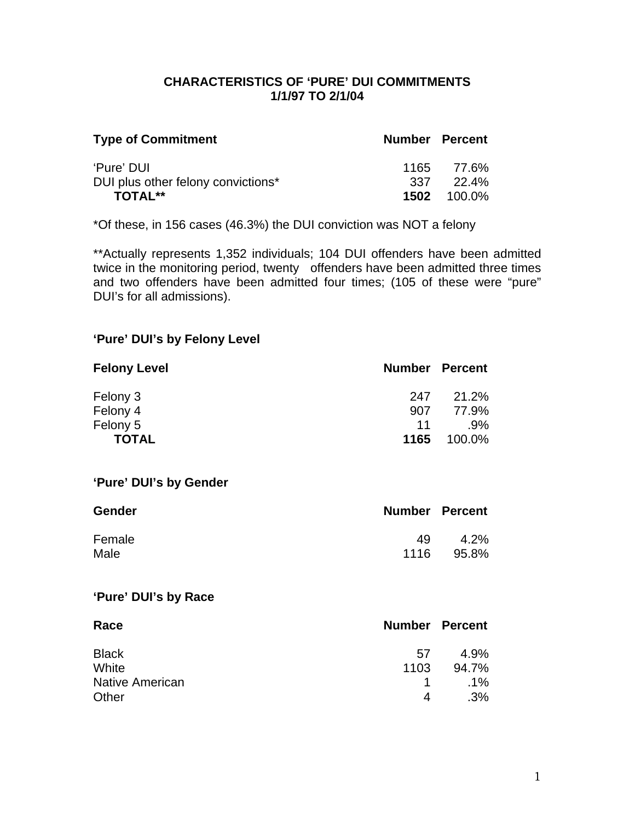## **CHARACTERISTICS OF 'PURE' DUI COMMITMENTS 1/1/97 TO 2/1/04**

| <b>Type of Commitment</b>          | <b>Number Percent</b> |                    |
|------------------------------------|-----------------------|--------------------|
| 'Pure' DUI                         |                       | 1165 77.6%         |
| DUI plus other felony convictions* |                       | 337 22.4%          |
| <b>TOTAL**</b>                     |                       | <b>1502</b> 100.0% |

\*Of these, in 156 cases (46.3%) the DUI conviction was NOT a felony

\*\*Actually represents 1,352 individuals; 104 DUI offenders have been admitted twice in the monitoring period, twenty offenders have been admitted three times and two offenders have been admitted four times; (105 of these were "pure" DUI's for all admissions).

## **'Pure' DUI's by Felony Level**

| <b>Felony Level</b> | <b>Number Percent</b> |        |
|---------------------|-----------------------|--------|
| Felony 3            | 247                   | 21.2%  |
| Felony 4            | 907                   | 77.9%  |
| Felony 5            | 11                    | $.9\%$ |
| <b>TOTAL</b>        | 1165                  | 100.0% |

### **'Pure' DUI's by Gender**

| <b>Gender</b> | <b>Number Percent</b> |         |
|---------------|-----------------------|---------|
| Female        | 49                    | $4.2\%$ |
| Male          | 1116                  | 95.8%   |

### **'Pure' DUI's by Race**

| Race                   | <b>Number Percent</b> |        |
|------------------------|-----------------------|--------|
| <b>Black</b>           | .57                   | 4.9%   |
| White                  | 1103                  | 94.7%  |
| <b>Native American</b> |                       | $.1\%$ |
| Other                  | 4                     | .3%    |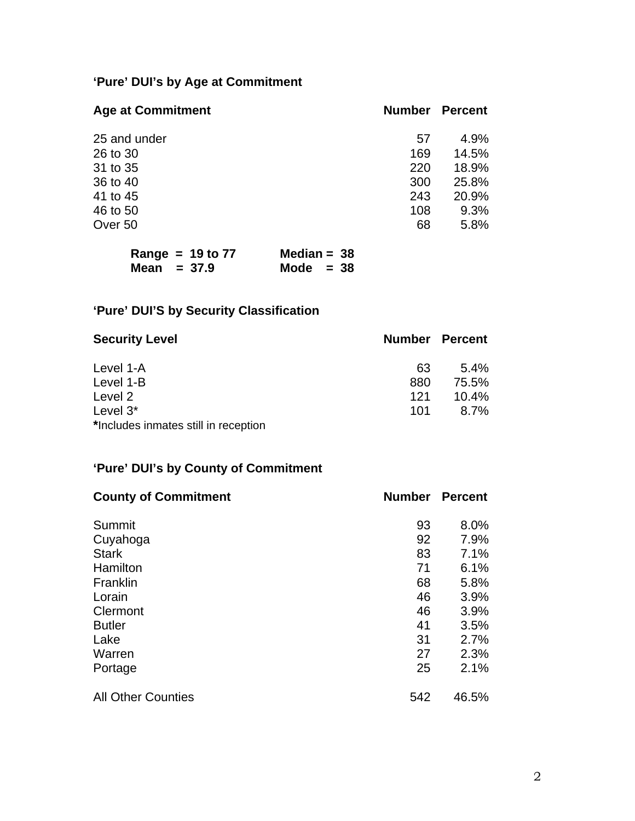# **'Pure' DUI's by Age at Commitment**

| <b>Number</b> | <b>Percent</b> |
|---------------|----------------|
| 57            | 4.9%           |
| 169           | 14.5%          |
| 220           | 18.9%          |
| 300           | 25.8%          |
| 243           | 20.9%          |
| 108           | 9.3%           |
| 68            | 5.8%           |
|               |                |

| Range = $19$ to $77$ | Median = $38$ |  |
|----------------------|---------------|--|
| Mean $= 37.9$        | Mode $= 38$   |  |

# **'Pure' DUI'S by Security Classification**

| <b>Security Level</b>                |     | <b>Number Percent</b> |
|--------------------------------------|-----|-----------------------|
| Level 1-A                            | 63  | $5.4\%$               |
| Level 1-B                            | 880 | 75.5%                 |
| Level 2                              | 121 | $10.4\%$              |
| Level $3^*$                          | 101 | $8.7\%$               |
| *Includes inmates still in reception |     |                       |

## **'Pure' DUI's by County of Commitment**

| <b>County of Commitment</b> | <b>Number</b> | <b>Percent</b> |
|-----------------------------|---------------|----------------|
| Summit                      | 93            | 8.0%           |
| Cuyahoga                    | 92            | 7.9%           |
| <b>Stark</b>                | 83            | 7.1%           |
| Hamilton                    | 71            | 6.1%           |
| Franklin                    | 68            | 5.8%           |
| Lorain                      | 46            | 3.9%           |
| Clermont                    | 46            | 3.9%           |
| <b>Butler</b>               | 41            | 3.5%           |
| Lake                        | 31            | 2.7%           |
| Warren                      | 27            | 2.3%           |
| Portage                     | 25            | 2.1%           |
| <b>All Other Counties</b>   | 542           | 46.5%          |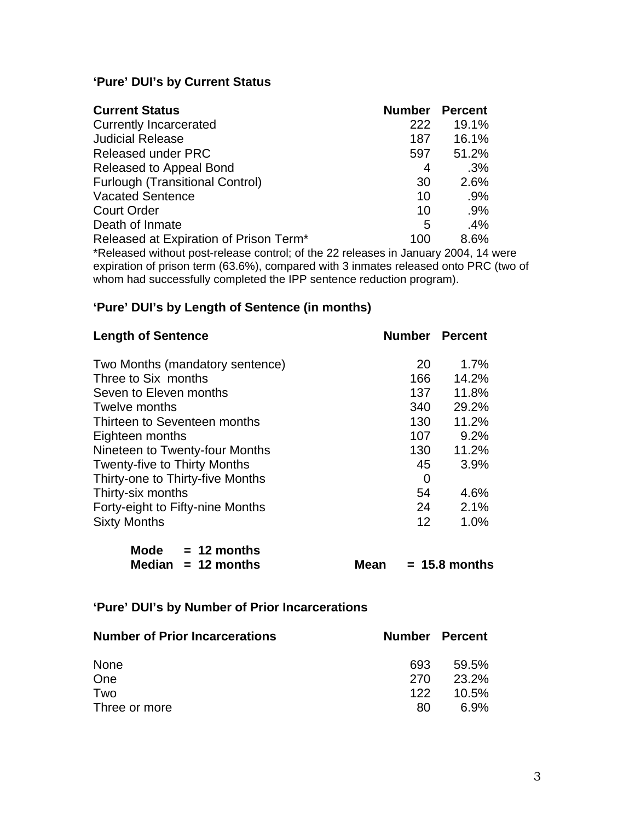## **'Pure' DUI's by Current Status**

| <b>Current Status</b>                                                            | <b>Number</b> | <b>Percent</b> |
|----------------------------------------------------------------------------------|---------------|----------------|
| <b>Currently Incarcerated</b>                                                    | 222           | 19.1%          |
| <b>Judicial Release</b>                                                          | 187           | 16.1%          |
| <b>Released under PRC</b>                                                        | 597           | 51.2%          |
| Released to Appeal Bond                                                          | 4             | .3%            |
| <b>Furlough (Transitional Control)</b>                                           | 30            | 2.6%           |
| <b>Vacated Sentence</b>                                                          | 10            | $.9\%$         |
| <b>Court Order</b>                                                               | 10            | $.9\%$         |
| Death of Inmate                                                                  | 5             | .4%            |
| Released at Expiration of Prison Term*                                           | 100           | 8.6%           |
| *Released without pest release central: of the 22 releases in January 2004, 14 w |               |                |

\*Released without post-release control; of the 22 releases in January 2004, 14 were expiration of prison term (63.6%), compared with 3 inmates released onto PRC (two of whom had successfully completed the IPP sentence reduction program).

## **'Pure' DUI's by Length of Sentence (in months)**

| <b>Length of Sentence</b>           | <b>Number Percent</b> |         |
|-------------------------------------|-----------------------|---------|
| Two Months (mandatory sentence)     | 20                    | $1.7\%$ |
| Three to Six months                 | 166                   | 14.2%   |
| Seven to Eleven months              | 137                   | 11.8%   |
| Twelve months                       | 340                   | 29.2%   |
| Thirteen to Seventeen months        | 130                   | 11.2%   |
| Eighteen months                     | 107                   | 9.2%    |
| Nineteen to Twenty-four Months      | 130                   | 11.2%   |
| <b>Twenty-five to Thirty Months</b> | 45                    | 3.9%    |
| Thirty-one to Thirty-five Months    | $\overline{0}$        |         |
| Thirty-six months                   | 54                    | 4.6%    |
| Forty-eight to Fifty-nine Months    | 24                    | 2.1%    |
| <b>Sixty Months</b>                 | 12                    | 1.0%    |

| Mode | $= 12$ months        |
|------|----------------------|
|      | Median $= 12$ months |

**Mean = 15.8 months** 

## **'Pure' DUI's by Number of Prior Incarcerations**

| <b>Number of Prior Incarcerations</b> |     | <b>Number Percent</b> |
|---------------------------------------|-----|-----------------------|
| <b>None</b>                           | 693 | 59.5%                 |
| One                                   | 270 | 23.2%                 |
| Two                                   | 122 | 10.5%                 |
| Three or more                         | 80  | 6.9%                  |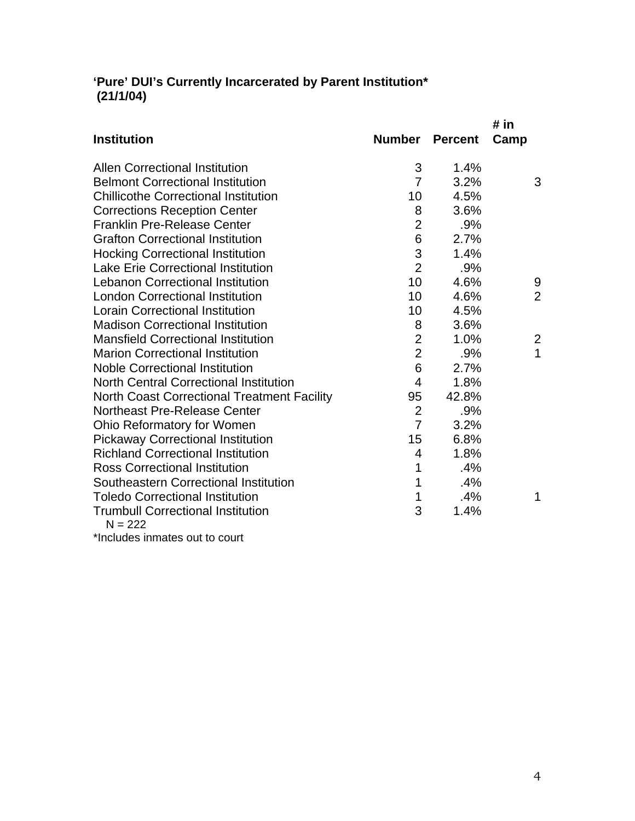## **'Pure' DUI's Currently Incarcerated by Parent Institution\* (21/1/04)**

|                |                                  | # in                  |
|----------------|----------------------------------|-----------------------|
|                |                                  | Camp                  |
| 3              | 1.4%                             |                       |
| $\overline{7}$ | 3.2%                             | 3                     |
| 10             | 4.5%                             |                       |
| 8              | 3.6%                             |                       |
| $\overline{2}$ | .9%                              |                       |
| 6              | 2.7%                             |                       |
| 3              | 1.4%                             |                       |
|                | .9%                              |                       |
| 10             | 4.6%                             | 9                     |
| 10             | 4.6%                             | $\overline{2}$        |
| 10             | 4.5%                             |                       |
| 8              | 3.6%                             |                       |
| $\overline{2}$ | 1.0%                             | $\overline{2}$        |
|                | .9%                              | 1                     |
| 6              | 2.7%                             |                       |
| $\overline{4}$ | 1.8%                             |                       |
| 95             | 42.8%                            |                       |
| $\overline{2}$ | .9%                              |                       |
| $\overline{7}$ | 3.2%                             |                       |
| 15             | 6.8%                             |                       |
| $\overline{4}$ | 1.8%                             |                       |
| 1              | .4%                              |                       |
| 1              | .4%                              |                       |
| 1              | .4%                              | 1                     |
| 3              | 1.4%                             |                       |
|                |                                  |                       |
|                | $\overline{2}$<br>$\overline{2}$ | <b>Number Percent</b> |

\*Includes inmates out to court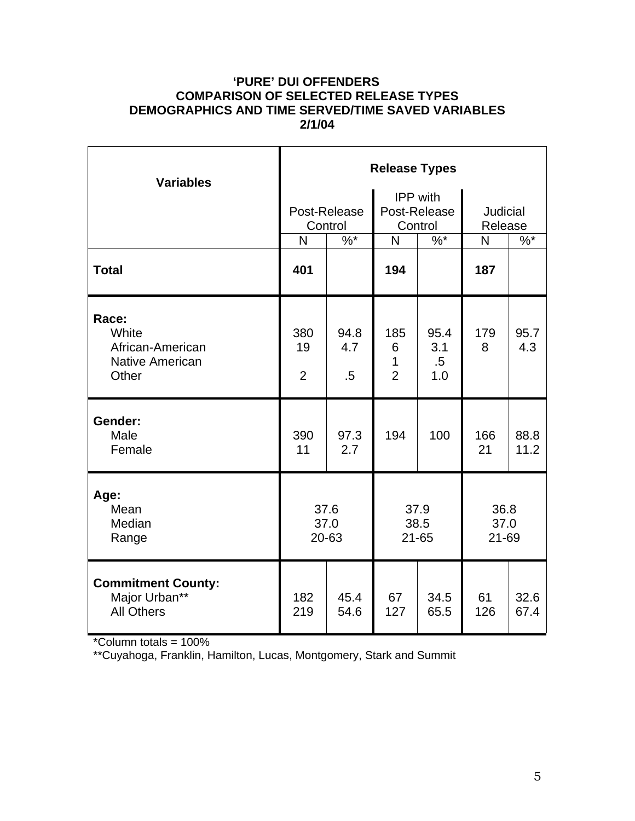#### **'PURE' DUI OFFENDERS COMPARISON OF SELECTED RELEASE TYPES DEMOGRAPHICS AND TIME SERVED/TIME SAVED VARIABLES 2/1/04**

| <b>Variables</b>                                                      | <b>Release Types</b>        |                         |                                            |                              |                            |              |  |
|-----------------------------------------------------------------------|-----------------------------|-------------------------|--------------------------------------------|------------------------------|----------------------------|--------------|--|
|                                                                       |                             | Post-Release<br>Control | <b>IPP</b> with<br>Post-Release<br>Control |                              | <b>Judicial</b><br>Release |              |  |
|                                                                       | N                           | $\frac{9}{6}$           | N                                          | $%^*$                        | $\mathsf{N}$               | $%^*$        |  |
| <b>Total</b>                                                          | 401                         |                         | 194                                        |                              | 187                        |              |  |
| Race:<br>White<br>African-American<br><b>Native American</b><br>Other | 380<br>19<br>$\overline{2}$ | 94.8<br>4.7<br>.5       | 185<br>6<br>1<br>$\overline{2}$            | 95.4<br>3.1<br>$.5\,$<br>1.0 | 179<br>8                   | 95.7<br>4.3  |  |
| Gender:<br>Male<br>Female                                             | 390<br>11                   | 97.3<br>2.7             | 194                                        | 100                          | 166<br>21                  | 88.8<br>11.2 |  |
| Age:<br>Mean<br>Median<br>Range                                       | 37.6<br>37.0<br>20-63       |                         | 37.9<br>38.5<br>$21 - 65$                  |                              | 36.8<br>37.0<br>21-69      |              |  |
| <b>Commitment County:</b><br>Major Urban**<br><b>All Others</b>       | 182<br>219                  | 45.4<br>54.6            | 67<br>127                                  | 34.5<br>65.5                 | 61<br>126                  | 32.6<br>67.4 |  |

\*Column totals = 100%

\*\*Cuyahoga, Franklin, Hamilton, Lucas, Montgomery, Stark and Summit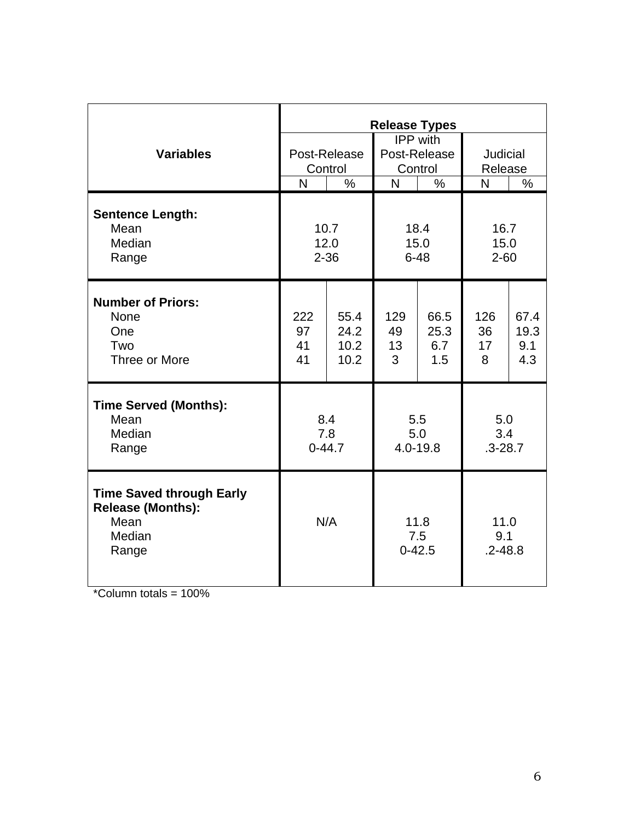|                                                                                        | <b>Release Types</b>     |                              |                                     |                            |                            |                            |  |
|----------------------------------------------------------------------------------------|--------------------------|------------------------------|-------------------------------------|----------------------------|----------------------------|----------------------------|--|
| <b>Variables</b>                                                                       | Post-Release<br>Control  |                              | IPP with<br>Post-Release<br>Control |                            | Judicial<br>Release        |                            |  |
|                                                                                        | N                        | $\%$                         | $\mathsf{N}$                        | $\%$                       | N                          | $\%$                       |  |
| <b>Sentence Length:</b><br>Mean<br>Median<br>Range                                     | 10.7<br>12.0<br>$2 - 36$ |                              | 18.4<br>15.0<br>$6 - 48$            |                            | 16.7<br>15.0<br>$2 - 60$   |                            |  |
| <b>Number of Priors:</b><br><b>None</b><br>One<br>Two<br>Three or More                 | 222<br>97<br>41<br>41    | 55.4<br>24.2<br>10.2<br>10.2 | 129<br>49<br>13<br>3                | 66.5<br>25.3<br>6.7<br>1.5 | 126<br>36<br>17<br>8       | 67.4<br>19.3<br>9.1<br>4.3 |  |
| <b>Time Served (Months):</b><br>Mean<br>Median<br>Range                                | 8.4<br>7.8<br>$0-44.7$   |                              | 5.5<br>5.0<br>4.0-19.8              |                            | 5.0<br>3.4<br>$.3 - 28.7$  |                            |  |
| <b>Time Saved through Early</b><br><b>Release (Months):</b><br>Mean<br>Median<br>Range | N/A                      |                              | 11.8<br>7.5<br>$0 - 42.5$           |                            | 11.0<br>9.1<br>$.2 - 48.8$ |                            |  |

 $*$ Column totals = 100%